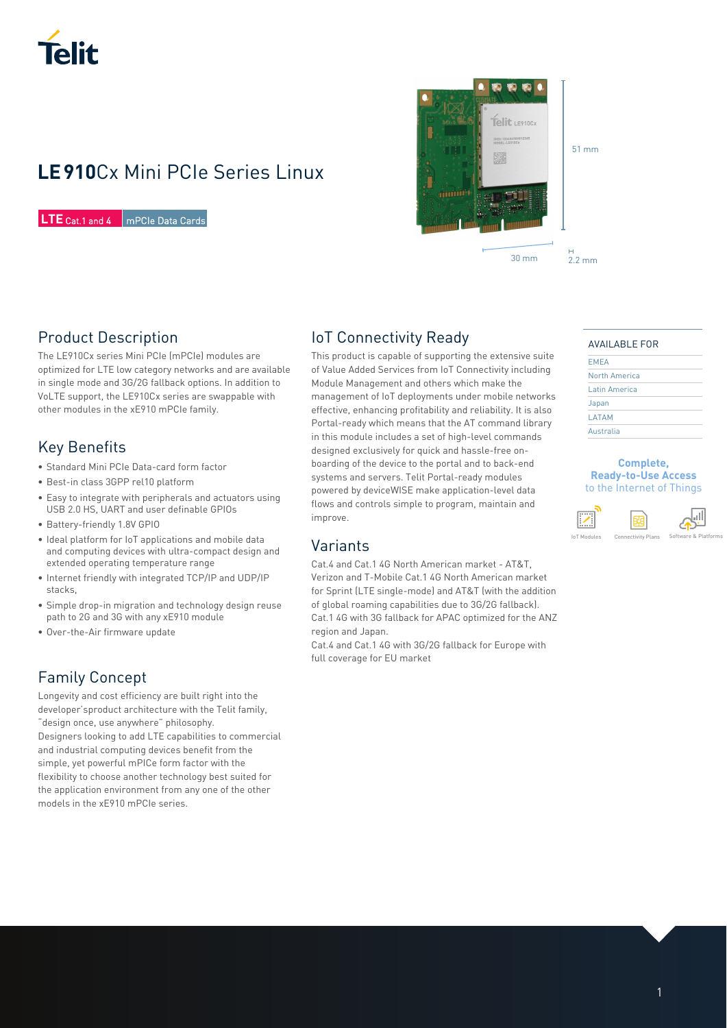

# **LE 910**Cx Mini PCIe Series Linux

**LTE** Cat.1 and 4 mPCIe Data Cards



### 51 mm

## Product Description

The LE910Cx series Mini PCIe (mPCIe) modules are optimized for LTE low category networks and are available in single mode and 3G/2G fallback options. In addition to VoLTE support, the LE910Cx series are swappable with other modules in the xE910 mPCIe family.

## Key Benefits

- Standard Mini PCIe Data-card form factor
- Best-in class 3GPP rel10 platform
- Easy to integrate with peripherals and actuators using USB 2.0 HS, UART and user definable GPIOs
- Battery-friendly 1.8V GPIO
- Ideal platform for IoT applications and mobile data and computing devices with ultra-compact design and extended operating temperature range
- Internet friendly with integrated TCP/IP and UDP/IP stacks,
- Simple drop-in migration and technology design reuse path to 2G and 3G with any xE910 module
- Over-the-Air firmware update

# Family Concept

Longevity and cost efficiency are built right into the developer'sproduct architecture with the Telit family, "design once, use anywhere" philosophy. Designers looking to add LTE capabilities to commercial and industrial computing devices benefit from the simple, yet powerful mPICe form factor with the flexibility to choose another technology best suited for the application environment from any one of the other models in the xE910 mPCIe series.

## IoT Connectivity Ready

This product is capable of supporting the extensive suite of Value Added Services from IoT Connectivity including Module Management and others which make the management of IoT deployments under mobile networks effective, enhancing profitability and reliability. It is also Portal-ready which means that the AT command library in this module includes a set of high-level commands designed exclusively for quick and hassle-free onboarding of the device to the portal and to back-end systems and servers. Telit Portal-ready modules powered by deviceWISE make application-level data flows and controls simple to program, maintain and improve.

# Variants

Cat.4 and Cat.1 4G North American market - AT&T, Verizon and T-Mobile Cat.1 4G North American market for Sprint (LTE single-mode) and AT&T (with the addition of global roaming capabilities due to 3G/2G fallback). Cat.1 4G with 3G fallback for APAC optimized for the ANZ region and Japan.

Cat.4 and Cat.1 4G with 3G/2G fallback for Europe with full coverage for EU market

### AVAILABLE FOR

| <b>EMEA</b>   |  |
|---------------|--|
| North America |  |
| Latin America |  |
| Japan         |  |
| LATAM         |  |
| Australia     |  |

#### **Complete, Ready-to-Use Access**  to the Internet of Things